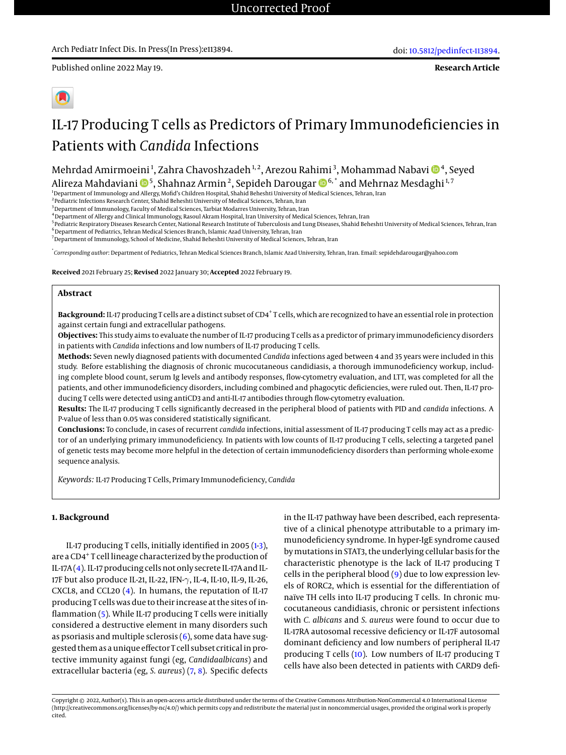**Research Article**

# IL-17 Producing T cells as Predictors of Primary Immunodeficiencies in Patients with *Candida* Infections

Mehrdad Amirmoeini<sup>1</sup>, Zahra Chavoshzadeh<sup>1,2</sup>, Arezou Rahimi<sup>3</sup>, Mohammad Nabavi **D**<sup>4</sup>, Seyed Alireza Mahdaviani ����, Shahnaz Armin<sup>2</sup>, Sepideh Darougar ����,\* and Mehrnaz Mesdaghi<sup>1,7</sup>

<sup>1</sup>Department of Immunology and Allergy, Mofid's Children Hospital, Shahid Beheshti University of Medical Sciences, Tehran, Iran

 $^{\rm 2}$ Pediatric Infections Research Center, Shahid Beheshti University of Medical Sciences, Tehran, Iran

<sup>3</sup> Department of Immunology, Faculty of Medical Sciences, Tarbiat Modarres University, Tehran, Iran

<sup>4</sup>Department of Allergy and Clinical Immunology, Rasoul Akram Hospital, Iran University of Medical Sciences, Tehran, Iran

<sup>5</sup> Pediatric Respiratory Diseases Research Center, National Research Institute of Tuberculosis and Lung Diseases, Shahid Beheshti University of Medical Sciences, Tehran, Iran  $^6$ Department of Pediatrics, Tehran Medical Sciences Branch, Islamic Azad University, Tehran, Iran

<sup>7</sup>Department of Immunology, School of Medicine, Shahid Beheshti University of Medical Sciences, Tehran, Iran

\* *Corresponding author*: Department of Pediatrics, Tehran Medical Sciences Branch, Islamic Azad University, Tehran, Iran. Email: sepidehdarougar@yahoo.com

**Received** 2021 February 25; **Revised** 2022 January 30; **Accepted** 2022 February 19.

# **Abstract**

Background: IL-17 producing T cells are a distinct subset of CD4<sup>+</sup>T cells, which are recognized to have an essential role in protection against certain fungi and extracellular pathogens.

**Objectives:** This study aims to evaluate the number of IL-17 producing T cells as a predictor of primary immunodeficiency disorders in patients with *Candida* infections and low numbers of IL-17 producing T cells.

**Methods:** Seven newly diagnosed patients with documented *Candida* infections aged between 4 and 35 years were included in this study. Before establishing the diagnosis of chronic mucocutaneous candidiasis, a thorough immunodeficiency workup, including complete blood count, serum Ig levels and antibody responses, flow-cytometry evaluation, and LTT, was completed for all the patients, and other immunodeficiency disorders, including combined and phagocytic deficiencies, were ruled out. Then, IL-17 producing T cells were detected using antiCD3 and anti-IL-17 antibodies through flow-cytometry evaluation.

**Results:** The IL-17 producing T cells significantly decreased in the peripheral blood of patients with PID and *candida* infections. A P-value of less than 0.05 was considered statistically significant.

**Conclusions:** To conclude, in cases of recurrent *candida* infections, initial assessment of IL-17 producing T cells may act as a predictor of an underlying primary immunodeficiency. In patients with low counts of IL-17 producing T cells, selecting a targeted panel of genetic tests may become more helpful in the detection of certain immunodeficiency disorders than performing whole-exome sequence analysis.

*Keywords:* IL-17 Producing T Cells, Primary Immunodeficiency, *Candida*

### **1. Background**

IL-17 producing T cells, initially identified in 2005 [\(1](#page-4-0)[-3\)](#page-4-1), are a CD4<sup>+</sup> T cell lineage characterized by the production of IL-17A [\(4\)](#page-4-2). IL-17 producing cells not only secrete IL-17A and IL-17F but also produce IL-21, IL-22, IFN-γ, IL-4, IL-10, IL-9, IL-26, CXCL8, and CCL20 [\(4\)](#page-4-2). In humans, the reputation of IL-17 producing T cells was due to their increase at the sites of inflammation [\(5\)](#page-4-3). While IL-17 producing T cells were initially considered a destructive element in many disorders such as psoriasis and multiple sclerosis  $(6)$ , some data have suggested them as a unique effector T cell subset critical in protective immunity against fungi (eg, *Candidaalbicans*) and extracellular bacteria (eg, *S. aureus*) [\(7,](#page-4-5) [8\)](#page-4-6). Specific defects

in the IL-17 pathway have been described, each representative of a clinical phenotype attributable to a primary immunodeficiency syndrome. In hyper-IgE syndrome caused by mutations in STAT3, the underlying cellular basis for the characteristic phenotype is the lack of IL-17 producing T cells in the peripheral blood [\(9\)](#page-4-7) due to low expression levels of RORC2, which is essential for the differentiation of naïve TH cells into IL-17 producing T cells. In chronic mucocutaneous candidiasis, chronic or persistent infections with *C. albicans* and *S. aureus* were found to occur due to IL-17RA autosomal recessive deficiency or IL-17F autosomal dominant deficiency and low numbers of peripheral IL-17 producing T cells [\(10\)](#page-4-8). Low numbers of IL-17 producing T cells have also been detected in patients with CARD9 defi-

Copyright © 2022, Author(s). This is an open-access article distributed under the terms of the Creative Commons Attribution-NonCommercial 4.0 International License (http://creativecommons.org/licenses/by-nc/4.0/) which permits copy and redistribute the material just in noncommercial usages, provided the original work is properly cited.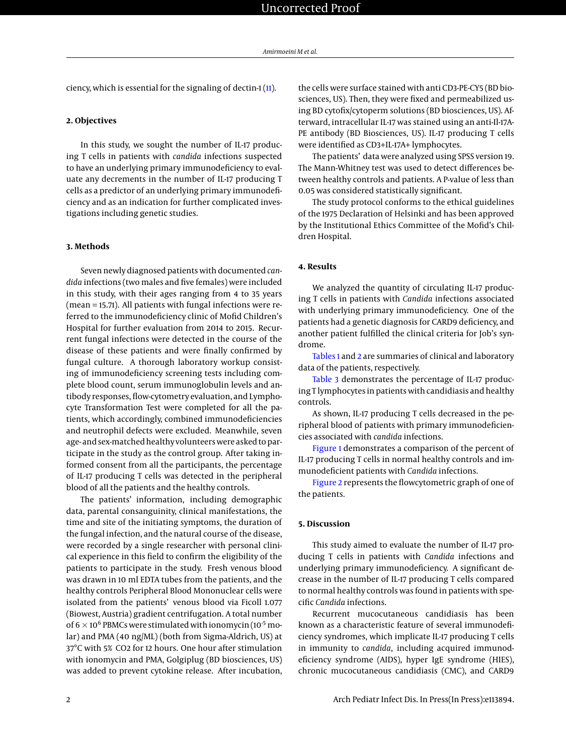ciency, which is essential for the signaling of dectin-1 [\(11\)](#page-4-9).

# **2. Objectives**

In this study, we sought the number of IL-17 producing T cells in patients with *candida* infections suspected to have an underlying primary immunodeficiency to evaluate any decrements in the number of IL-17 producing T cells as a predictor of an underlying primary immunodeficiency and as an indication for further complicated investigations including genetic studies.

#### **3. Methods**

Seven newly diagnosed patients with documented *candida* infections (two males and five females) were included in this study, with their ages ranging from 4 to 35 years (mean = 15.71). All patients with fungal infections were referred to the immunodeficiency clinic of Mofid Children's Hospital for further evaluation from 2014 to 2015. Recurrent fungal infections were detected in the course of the disease of these patients and were finally confirmed by fungal culture. A thorough laboratory workup consisting of immunodeficiency screening tests including complete blood count, serum immunoglobulin levels and antibody responses, flow-cytometry evaluation, and Lymphocyte Transformation Test were completed for all the patients, which accordingly, combined immunodeficiencies and neutrophil defects were excluded. Meanwhile, seven age- and sex-matched healthy volunteers were asked to participate in the study as the control group. After taking informed consent from all the participants, the percentage of IL-17 producing T cells was detected in the peripheral blood of all the patients and the healthy controls.

The patients' information, including demographic data, parental consanguinity, clinical manifestations, the time and site of the initiating symptoms, the duration of the fungal infection, and the natural course of the disease, were recorded by a single researcher with personal clinical experience in this field to confirm the eligibility of the patients to participate in the study. Fresh venous blood was drawn in 10 ml EDTA tubes from the patients, and the healthy controls Peripheral Blood Mononuclear cells were isolated from the patients' venous blood via Ficoll 1.077 (Biowest, Austria) gradient centrifugation. A total number of 6  $\times$  10<sup>6</sup> PBMCs were stimulated with ionomycin (10<sup>-5</sup> molar) and PMA (40 ng/ML) (both from Sigma-Aldrich, US) at 37°C with 5% CO2 for 12 hours. One hour after stimulation with ionomycin and PMA, Golgiplug (BD biosciences, US) was added to prevent cytokine release. After incubation,

the cells were surface stained with anti CD3-PE-CY5 (BD biosciences, US). Then, they were fixed and permeabilized using BD cytofix/cytoperm solutions (BD biosciences, US). Afterward, intracellular IL-17 was stained using an anti-Il-17A-PE antibody (BD Biosciences, US). IL-17 producing T cells were identified as CD3+IL-17A+ lymphocytes.

The patients' data were analyzed using SPSS version 19. The Mann-Whitney test was used to detect differences between healthy controls and patients. A P-value of less than 0.05 was considered statistically significant.

The study protocol conforms to the ethical guidelines of the 1975 Declaration of Helsinki and has been approved by the Institutional Ethics Committee of the Mofid's Children Hospital.

#### **4. Results**

We analyzed the quantity of circulating IL-17 producing T cells in patients with *Candida* infections associated with underlying primary immunodeficiency. One of the patients had a genetic diagnosis for CARD9 deficiency, and another patient fulfilled the clinical criteria for Job's syndrome.

[Tables 1](#page-2-0) and [2](#page-2-1) are summaries of clinical and laboratory data of the patients, respectively.

[Table 3](#page-3-0) demonstrates the percentage of IL-17 producing T lymphocytes in patients with candidiasis and healthy controls.

As shown, IL-17 producing T cells decreased in the peripheral blood of patients with primary immunodeficiencies associated with *candida* infections.

[Figure 1](#page-2-2) demonstrates a comparison of the percent of IL-17 producing T cells in normal healthy controls and immunodeficient patients with *Candida* infections.

[Figure 2](#page-3-1) represents the flowcytometric graph of one of the patients.

#### **5. Discussion**

This study aimed to evaluate the number of IL-17 producing T cells in patients with *Candida* infections and underlying primary immunodeficiency. A significant decrease in the number of IL-17 producing T cells compared to normal healthy controls was found in patients with specific *Candida* infections.

Recurrent mucocutaneous candidiasis has been known as a characteristic feature of several immunodeficiency syndromes, which implicate IL-17 producing T cells in immunity to *candida*, including acquired immunodeficiency syndrome (AIDS), hyper IgE syndrome (HIES), chronic mucocutaneous candidiasis (CMC), and CARD9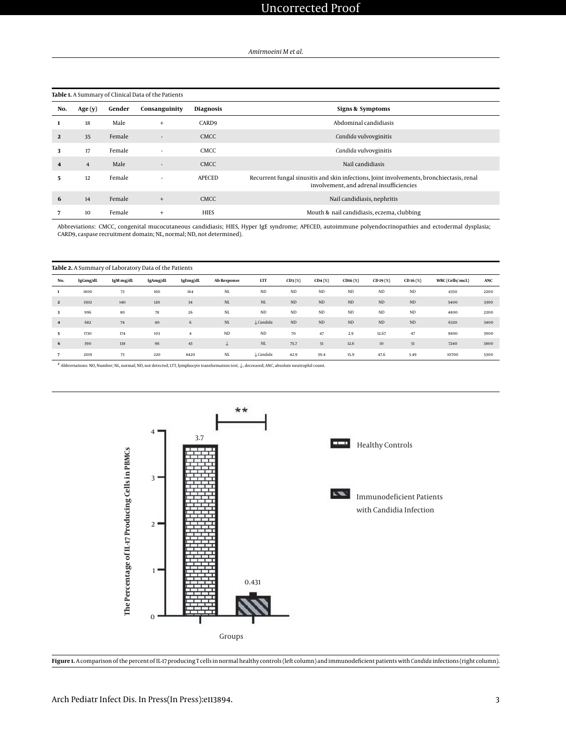<span id="page-2-0"></span>

|                | Table 1. A Summary of Clinical Data of the Patients |        |                          |                  |                                                                                                                                       |  |  |  |
|----------------|-----------------------------------------------------|--------|--------------------------|------------------|---------------------------------------------------------------------------------------------------------------------------------------|--|--|--|
| No.            | Age(y)                                              | Gender | Consanguinity            | <b>Diagnosis</b> | Signs & Symptoms                                                                                                                      |  |  |  |
|                | 18                                                  | Male   | $^{+}$                   | CARD9            | Abdominal candidiasis                                                                                                                 |  |  |  |
| $\overline{2}$ | 35                                                  | Female | $\overline{\phantom{a}}$ | <b>CMCC</b>      | Candida vulvovginitis                                                                                                                 |  |  |  |
| 3              | 17                                                  | Female |                          | CMCC.            | Candida vulvovginitis                                                                                                                 |  |  |  |
| 4              | $\overline{4}$                                      | Male   | $\overline{a}$           | <b>CMCC</b>      | Nail candidiasis                                                                                                                      |  |  |  |
| 5.             | 12                                                  | Female | ٠                        | <b>APECED</b>    | Recurrent fungal sinusitis and skin infections, Joint involvements, bronchiectasis, renal<br>involvement, and adrenal insufficiencies |  |  |  |
| 6              | 14                                                  | Female | $^{+}$                   | <b>CMCC</b>      | Nail candidiasis, nephritis                                                                                                           |  |  |  |
|                | 10                                                  | Female | $^{+}$                   | <b>HIES</b>      | Mouth & nail candidiasis, eczema, clubbing                                                                                            |  |  |  |

Abbreviations: CMCC, congenital mucocutaneous candidiasis; HIES, Hyper IgE syndrome; APECED, autoimmune polyendocrinopathies and ectodermal dysplasia; CARD9, caspase recruitment domain; NL, normal; ND, not determined).

<span id="page-2-1"></span>

|                | Table 2. A Summary of Laboratory Data of the Patients |           |          |                |             |                      |           |           |          |              |              |                 |      |
|----------------|-------------------------------------------------------|-----------|----------|----------------|-------------|----------------------|-----------|-----------|----------|--------------|--------------|-----------------|------|
| No.            | IgGmg/dL                                              | IgM mg/dL | IgAmg/dL | IgEmg/dL       | Ab Response | LTT                  | $CD3(\%)$ | $CD4$ (%) | CD16(%)  | $CD19({\%})$ | $CD 16 (\%)$ | WBC (Cells/mcL) | ANC  |
|                | 1800                                                  | 73        | 160      | 164            | NL          | <b>ND</b>            | <b>ND</b> | ND        | $\rm ND$ | ND           | $_{\rm ND}$  | 4350            | 2200 |
| $\overline{2}$ | 1502                                                  | 140       | 120      | 34             | $\rm NL$    | $\rm NL$             | ND        | $\rm ND$  | $\rm ND$ | $\rm ND$     | $\rm ND$     | 5400            | 3300 |
| 3              | 996                                                   | 80        | 78       | 26             | NL          | <b>ND</b>            | <b>ND</b> | ND        | ND       | ND           | $_{\rm ND}$  | 4800            | 2200 |
| $\overline{4}$ | 682                                                   | 74        | 40       | 6              | $\rm NL$    | $\downarrow$ Candida | ND        | ND        | $\rm ND$ | <b>ND</b>    | $\rm ND$     | 6320            | 3400 |
| 5              | 1730                                                  | 174       | 103      | $\overline{4}$ | ND          | ND                   | 70        | 47        | 2.9      | 12.67        | 47           | 9800            | 3900 |
| 6              | 390                                                   | 138       | 96       | 43             | $\ddotmark$ | $\rm NL$             | 75.7      | 51        | 12.6     | $10$         | 51           | 7240            | 3800 |
|                | 2019                                                  | 73        | 220      | 8420           | $_{\rm NL}$ | $\downarrow$ Candida | 42.9      | 39.4      | 15.9     | 47.6         | 3.49         | 10700           | 5300 |

<span id="page-2-2"></span>z Abbreviations: NO, Number; NL, normal; ND, not detected; LTT, lymphocyte transformation test; ↓, decreased; ANC, absolute neutrophil count.



**Figure 1.** A comparison of the percent of IL-17 producing T cells in normal healthy controls (left column) and immunodeficient patients with*Candida* infections (right column).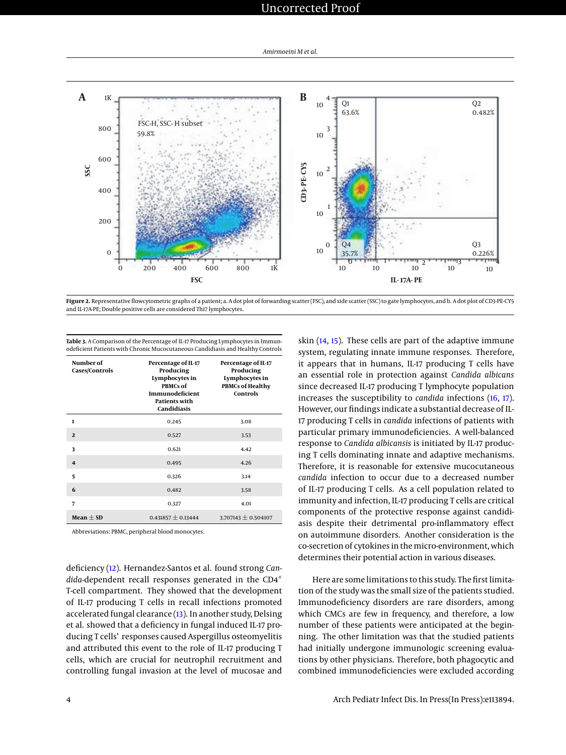# Uncorrected Proof

<span id="page-3-1"></span>

Figure 2. Representative flowcytometric graphs of a patient; a. A dot plot of forwarding scatter (FSC), and side scatter (SSC) to gate lymphocytes, and b. A dot plot of CD3-PE-CY5 and IL-17A-PE; Double positive cells are considered Th17 lymphocytes.

| Number of<br>Cases/Controls | Percentage of IL-17<br>Producing<br>Lymphocytes in<br><b>PBMCs of</b><br>Immunodeficient<br><b>Patients with</b><br>Candidiasis | Percentage of IL-17<br>Producing<br>Lymphocytes in<br><b>PBMCs of Healthy</b><br><b>Controls</b> |
|-----------------------------|---------------------------------------------------------------------------------------------------------------------------------|--------------------------------------------------------------------------------------------------|
| 1                           | 0.245                                                                                                                           | 3.08                                                                                             |
| $\mathbf{2}$                | 0.527                                                                                                                           | 3.53                                                                                             |
| 3                           | 0.621                                                                                                                           | 4.42                                                                                             |
| 4                           | 0.495                                                                                                                           | 4.26                                                                                             |
| 5                           | 0.326                                                                                                                           | 3.14                                                                                             |
| 6                           | 0.482                                                                                                                           | 3.58                                                                                             |
| 7                           | 0.327                                                                                                                           | 4.01                                                                                             |
| Mean $\pm$ SD               | 0.431857 $\pm$ 0.13444                                                                                                          | 3.707143 $\pm$ 0.504107                                                                          |

<span id="page-3-0"></span>**Table 3.** A Comparison of the Percentage of IL-17 Producing Lymphocytes in Immunodeficient Patients with Chronic Mucocutaneous Candidiasis and Healthy Controls

Abbreviations: PBMC, peripheral blood monocytes.

deficiency [\(12\)](#page-4-10). Hernandez-Santos et al. found strong *Can*dida-dependent recall responses generated in the CD4<sup>+</sup> T-cell compartment. They showed that the development of IL-17 producing T cells in recall infections promoted accelerated fungal clearance [\(13\)](#page-4-11). In another study, Delsing et al. showed that a deficiency in fungal induced IL-17 producing T cells' responses caused Aspergillus osteomyelitis and attributed this event to the role of IL-17 producing T cells, which are crucial for neutrophil recruitment and controlling fungal invasion at the level of mucosae and

skin [\(14,](#page-4-12) [15\)](#page-4-13). These cells are part of the adaptive immune system, regulating innate immune responses. Therefore, it appears that in humans, IL-17 producing T cells have an essential role in protection against *Candida albicans* since decreased IL-17 producing T lymphocyte population increases the susceptibility to *candida* infections [\(16,](#page-4-14) [17\)](#page-4-15). However, our findings indicate a substantial decrease of IL-17 producing T cells in *candida* infections of patients with particular primary immunodeficiencies. A well-balanced response to *Candida albicansis* is initiated by IL-17 producing T cells dominating innate and adaptive mechanisms. Therefore, it is reasonable for extensive mucocutaneous *candida* infection to occur due to a decreased number of IL-17 producing T cells. As a cell population related to immunity and infection, IL-17 producing T cells are critical components of the protective response against candidiasis despite their detrimental pro-inflammatory effect on autoimmune disorders. Another consideration is the co-secretion of cytokines in the micro-environment, which determines their potential action in various diseases.

Here are some limitations to this study. The first limitation of the study was the small size of the patients studied. Immunodeficiency disorders are rare disorders, among which CMCs are few in frequency, and therefore, a low number of these patients were anticipated at the beginning. The other limitation was that the studied patients had initially undergone immunologic screening evaluations by other physicians. Therefore, both phagocytic and combined immunodeficiencies were excluded according